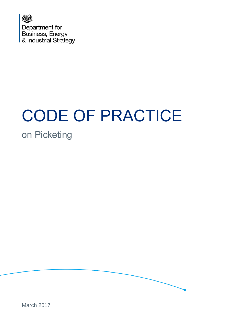

# CODE OF PRACTICE

### on Picketing



March 2017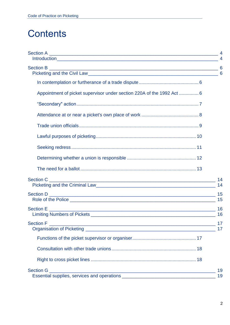# **Contents**

| Appointment of picket supervisor under section 220A of the 1992 Act  6                                                                          |
|-------------------------------------------------------------------------------------------------------------------------------------------------|
|                                                                                                                                                 |
|                                                                                                                                                 |
|                                                                                                                                                 |
|                                                                                                                                                 |
|                                                                                                                                                 |
|                                                                                                                                                 |
|                                                                                                                                                 |
| Section C <sub>________</sub><br>Picketing and the Criminal Law 2008 and the Criminal Law 2008 and 2008 and 2008 and 2008 and 2008 and 2008 and |
|                                                                                                                                                 |
|                                                                                                                                                 |
|                                                                                                                                                 |
| Section F                                                                                                                                       |
|                                                                                                                                                 |
|                                                                                                                                                 |
|                                                                                                                                                 |
| <b>Section G</b>                                                                                                                                |
|                                                                                                                                                 |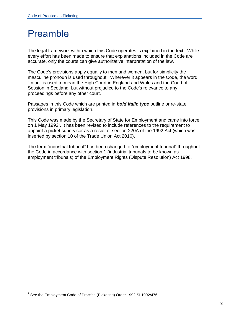# Preamble

The legal framework within which this Code operates is explained in the text. While every effort has been made to ensure that explanations included in the Code are accurate, only the courts can give authoritative interpretation of the law.

The Code's provisions apply equally to men and women, but for simplicity the masculine pronoun is used throughout. Wherever it appears in the Code, the word "court" is used to mean the High Court in England and Wales and the Court of Session in Scotland, but without prejudice to the Code's relevance to any proceedings before any other court.

Passages in this Code which are printed in *bold italic type* outline or re-state provisions in primary legislation.

This Code was made by the Secretary of State for Employment and came into force on 1 May 1992<sup>1</sup>. It has been revised to include references to the requirement to appoint a picket supervisor as a result of section 220A of the 1992 Act (which was inserted by section 10 of the Trade Union Act 2016).

The term "industrial tribunal" has been changed to "employment tribunal" throughout the Code in accordance with section 1 (industrial tribunals to be known as employment tribunals) of the Employment Rights (Dispute Resolution) Act 1998.

<sup>&</sup>lt;sup>1</sup> See the Employment Code of Practice (Picketing) Order 1992 SI 1992/476.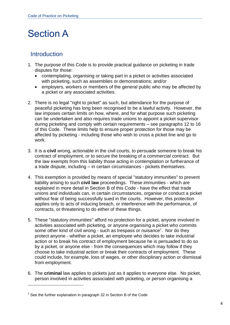# <span id="page-3-0"></span>Section A

### <span id="page-3-1"></span>**Introduction**

- 1. The purpose of this Code is to provide practical guidance on picketing in trade disputes for those:
	- contemplating, organising or taking part in a picket or activities associated with picketing, such as assemblies or demonstrations; and/or
	- employers, workers or members of the general public who may be affected by a picket or any associated activities.
- 2. There is no legal "right to picket" as such, but attendance for the purpose of peaceful picketing has long been recognised to be a lawful activity. However, the law imposes certain limits on how, where, and for what purpose such picketing can be undertaken and also requires trade unions to appoint a picket supervisor during picketing and comply with certain requirements – see paragraphs 12 to 16 of this Code. These limits help to ensure proper protection for those may be affected by picketing - including those who wish to cross a picket line and go to work.
- 3. It is a **civil** wrong, actionable in the civil courts, to persuade someone to break his contract of employment, or to secure the breaking of a commercial contract. But the law exempts from this liability those acting in contemplation or furtherance of a trade dispute, including – in certain circumstances - pickets themselves.
- 4. This exemption is provided by means of special "statutory immunities" to prevent liability arising to such **civil law** proceedings. These immunities - which are explained in more detail in Section B of this Code - have the effect that trade unions and individuals can, in certain circumstances, organise or conduct a picket without fear of being successfully sued in the courts. However, this protection applies only to acts of inducing breach, or interference with the performance, of contracts, or threatening to do either of these things.
- 5. These "statutory immunities" afford no protection for a picket, anyone involved in activities associated with picketing, or anyone organising a picket who commits some other kind of civil wrong - such as trespass or nuisance<sup>2</sup>. Nor do they protect anyone - whether a picket, an employee who decides to take industrial action or to break his contract of employment because he is persuaded to do so by a picket, or anyone else - from the consequences which may follow if they choose to take industrial action or break their contracts of employment. These could include, for example, loss of wages, or other disciplinary action or dismissal from employment.
- 6. The **criminal** law applies to pickets just as it applies to everyone else. No picket, person involved in activities associated with picketing, or person organising a

 $2$  See the further explanation in paragraph 32 in Section B of the Code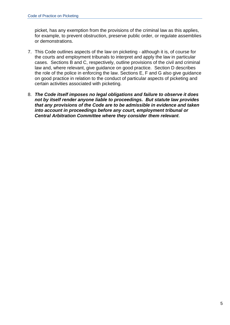picket, has any exemption from the provisions of the criminal law as this applies, for example, to prevent obstruction, preserve public order, or regulate assemblies or demonstrations.

- 7. This Code outlines aspects of the law on picketing although it is, of course for the courts and employment tribunals to interpret and apply the law in particular cases. Sections B and C, respectively, outline provisions of the civil and criminal law and, where relevant, give guidance on good practice. Section D describes the role of the police in enforcing the law. Sections E, F and G also give guidance on good practice in relation to the conduct of particular aspects of picketing and certain activities associated with picketing.
- 8. *The Code itself imposes no legal obligations and failure to observe it does not by itself render anyone liable to proceedings. But statute law provides that any provisions of the Code are to be admissible in evidence and taken into account in proceedings before any court, employment tribunal or Central Arbitration Committee where they consider them relevant***.**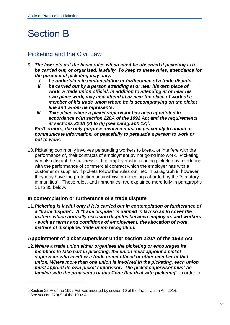# <span id="page-5-0"></span>Section B

### <span id="page-5-1"></span>Picketing and the Civil Law

- 9. *The law sets out the basic rules which must be observed if picketing is to be carried out, or organised, lawfully. To keep to these rules, attendance for the purpose of picketing may only:*
	- *i. be undertaken in contemplation or furtherance of a trade dispute;*
	- *ii. be carried out by a person attending at or near his own place of work; a trade union official, in addition to attending at or near his own place work, may also attend at or near the place of work of a member of his trade union whom he is accompanying on the picket line and whom he represents;*
	- *iii. Take place where a picket supervisor has been appointed in accordance with section 220A of the 1992 Act and the requirements at sections 220A (3) to (8) (see paragraph 12)<sup>3</sup> .*

#### *Furthermore, the only purpose involved must be peacefully to obtain or communicate information, or peacefully to persuade a person to work or not to work.*

10.Picketing commonly involves persuading workers to break, or interfere with the performance of, their contracts of employment by not going into work. Picketing can also disrupt the business of the employer who is being picketed by interfering with the performance of commercial contract which the employer has with a customer or supplier. If pickets follow the rules outlined in paragraph 9, however, they may have the protection against civil proceedings afforded by the "statutory immunities". These rules, and immunities, are explained more fully in paragraphs 11 to 35 below.

#### <span id="page-5-2"></span>**In contemplation or furtherance of a trade dispute**

11.*Picketing is lawful only if it is carried out in contemplation or furtherance of a "trade dispute". A "trade dispute" is defined in law so as to cover the matters which normally occasion disputes between employers and workers - such as terms and conditions of employment, the allocation of work, matters of discipline, trade union recognition.*

#### <span id="page-5-3"></span>**Appointment of picket supervisor under section 220A of the 1992 Act**

12.*Where a trade union either organises the picketing or encourages its members to take part in picketing, the union must appoint a picket supervisor who is either a trade union official or other member of that union. Where more than one union is involved in the picketing, each union must appoint its own picket supervisor. The picket supervisor must be familiar with the provisions of this Code that deal with picketing<sup>4</sup>* in order to

 $3$  Section 220A of the 1992 Act was inserted by section 10 of the Trade Union Act 2016.

 $4$  See section 220(3) of the 1992 Act.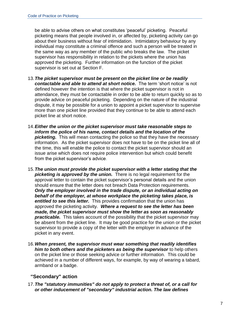be able to advise others on what constitutes 'peaceful' picketing. Peaceful picketing means that people involved in, or affected by, picketing activity can go about their business without fear of intimidation. Intimidatory behaviour by any individual may constitute a criminal offence and such a person will be treated in the same way as any member of the public who breaks the law. The picket supervisor has responsibility in relation to the pickets where the union has approved the picketing. Further information on the function of the picket supervisor is set out at Section F.

- 13.*The picket supervisor must be present on the picket line or be readily contactable and able to attend at short notice.* The term 'short notice' is not defined however the intention is that where the picket supervisor is not in attendance, they must be contactable in order to be able to return quickly so as to provide advice on peaceful picketing. Depending on the nature of the industrial dispute, it may be possible for a union to appoint a picket supervisor to supervise more than one picket line provided that they continue to be able to attend each picket line at short notice.
- 14.*Either the union or the picket supervisor must take reasonable steps to inform the police of his name, contact details and the location of the*  **picketing.** This will mean contacting the police so that they have the necessary information. As the picket supervisor does not have to be on the picket line all of the time, this will enable the police to contact the picket supervisor should an issue arise which does not require police intervention but which could benefit from the picket supervisor's advice.
- 15.*The union must provide the picket supervisor with a letter stating that the picketing is approved by the union.* There is no legal requirement for the approval letter to contain the picket supervisor's personal details and the union should ensure that the letter does not breach Data Protection requirements. *Only the employer involved in the trade dispute, or an individual acting on behalf of the employer, at whose workplace the picketing takes place, is*  entitled to see this letter. This provides confirmation that the union has approved the picketing activity. *Where a request to see the letter has been made, the picket supervisor must show the letter as soon as reasonably practicable.* This takes account of the possibility that the picket supervisor may be absent from the picket line. It may be good practice for the union or the picket supervisor to provide a copy of the letter with the employer in advance of the picket in any event.
- 16.*When present, the supervisor must wear something that readily identifies him to both others and the picketers as being the supervisor* to help others on the picket line or those seeking advice or further information. This could be achieved in a number of different ways, for example, by way of wearing a tabard, armband or a badge.

#### <span id="page-6-0"></span>**"Secondary" action**

17.*The "statutory immunities" do not apply to protect a threat of, or a call for or other inducement of "secondary" industrial action. The law defines*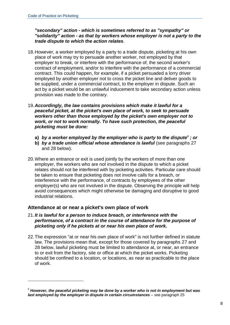*"secondary" action - which is sometimes referred to as "sympathy" or "solidarity" action - as that by workers whose employer is not a party to the trade dispute to which the action relates***.**

- 18.However, a worker employed by a party to a trade dispute, picketing at his own place of work may try to persuade another worker, not employed by that employer to break, or interfere with the performance of, the second worker's contract of employment, and/or to interfere with the performance of a commercial contract. This could happen, for example, if a picket persuaded a lorry driver employed by another employer not to cross the picket line and deliver goods to be supplied, under a commercial contract, to the employer in dispute. Such an act by a picket would be an unlawful inducement to take secondary action unless provision was made to the contrary.
- 19.*Accordingly, the law contains provisions which make it lawful for a peaceful picket, at the picket's own place of work, to seek to persuade workers other than those employed by the picket's own employer not to work, or not to work normally. To have such protection, the peaceful picketing must be done:*
	- **a)** *by a worker employed by the employer who is party to the dispute<sup>5</sup> ; or*
	- **b)** *by a trade union official whose attendance is lawful* (see paragraphs 27 and 28 below).
- 20.Where an entrance or exit is used jointly by the workers of more than one employer, the workers who are not involved in the dispute to which a picket relates should not be interfered with by picketing activities. Particular care should be taken to ensure that picketing does not involve calls for a breach, or interference with the performance, of contracts by employees of the other employer(s) who are not involved in the dispute. Observing the principle will help avoid consequences which might otherwise be damaging and disruptive to good industrial relations.

#### <span id="page-7-0"></span>**Attendance at or near a picket's own place of work**

- 21.*It is lawful for a person to induce breach, or interference with the performance, of a contract in the course of attendance for the purpose of picketing only if he pickets at or near his own place of work.*
- 22.The expression "at or near his own place of work" is not further defined in statute law. The provisions mean that, except for those covered by paragraphs 27 and 28 below, lawful picketing must be limited to attendance at, or near, an entrance to or exit from the factory, site or office at which the picket works. Picketing should be confined to a location, or locations, as near as practicable to the place of work.

<sup>5</sup> *However, the peaceful picketing may be done by a worker who is not in employment but was last employed by the employer in dispute in certain circumstances* – see paragraph 25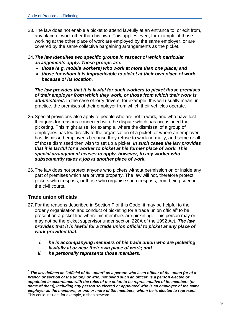- 23.The law does not enable a picket to attend lawfully at an entrance to, or exit from, any place of work other than his own. This applies even, for example, if those working at the other place of work are employed by the same employer, or are covered by the same collective bargaining arrangements as the picket.
- 24.*The law identifies two specific groups in respect of which particular arrangements apply. These groups are:*
	- *those (e.g. mobile workers) who work at more than one place; and*
	- *those for whom it is impracticable to picket at their own place of work because of its location.*

*The law provides that it is lawful for such workers to picket those premises of their employer from which they work, or those from which their work is administered.* In the case of lorry drivers, for example, this will usually mean, in practice, the premises of their employer from which their vehicles operate.

- 25.Special provisions also apply to people who are not in work, and who have lost their jobs for reasons connected with the dispute which has occasioned the picketing. This might arise, for example, where the dismissal of a group of employees has led directly to the organisation of a picket, or where an employer has dismissed employees because they refuse to work normally, and some or all of those dismissed then wish to set up a picket. *In such cases the law provides that it is lawful for a worker to picket at his former place of work. This special arrangement ceases to apply, however, to any worker who subsequently takes a job at another place of work.*
- 26.The law does not protect anyone who pickets without permission on or inside any part of premises which are private property. The law will not, therefore protect pickets who trespass, or those who organise such trespass, from being sued in the civil courts.

#### <span id="page-8-0"></span>**Trade union officials**

- 27.For the reasons described in Section F of this Code, it may be helpful to the orderly organisation and conduct of picketing for a trade union official<sup>6</sup> to be present on a picket line where his members are picketing. This person may or may not be the picket supervisor under section 220A of the 1992 Act. *The law provides that it is lawful for a trade union official to picket at any place of work provided that:*
	- *i. he is accompanying members of his trade union who are picketing lawfully at or near their own place of work; and*
	- *ii. he personally represents those members.*

 $^{\rm 6}$  The law defines an "official of the union" as a person who is an officer of the union (or of a *branch or section of the union), or who, not being such an officer, is a person elected or appointed in accordance with the rules of the union to be representative of its members (or some of them), including any person so elected or appointed who is an employee of the same employer as the members, or one or more of the members, whom he is elected to represent.* This could include, for example, a shop steward.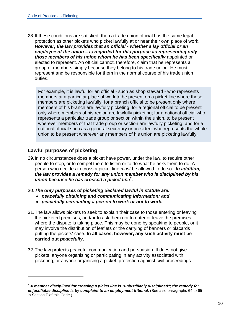28.If these conditions are satisfied, then a trade union official has the same legal protection as other pickets who picket lawfully at or near their own place of work. *However, the law provides that an official - whether a lay official or an employee of the union – is regarded for this purpose as representing only those members of his union whom he has been specifically* appointed or elected to represent. An official cannot, therefore, claim that he represents a group of members simply because they belong to his trade union. He must represent and be responsible for them in the normal course of his trade union duties.

For example, it is lawful for an official - such as shop steward - who represents members at a particular place of work to be present on a picket line where those members are picketing lawfully; for a branch official to be present only where members of his branch are lawfully picketing; for a regional official to be present only where members of his region are lawfully picketing; for a national official who represents a particular trade group or section within the union, to be present wherever members of that trade group or section are lawfully picketing; and for a national official such as a general secretary or president who represents the whole union to be present wherever any members of his union are picketing lawfully.

#### <span id="page-9-0"></span>**Lawful purposes of picketing**

- 29.In no circumstances does a picket have power, under the law, to require other people to stop, or to compel them to listen or to do what he asks them to do. A person who decides to cross a picket line *must* be allowed to do so. *In addition, the law provides a remedy for any union member who is disciplined by his union because he has crossed a picket line***<sup>7</sup> .**
- 30.*The only purposes of picketing declared lawful in statute are:*
	- *peacefully obtaining and communicating information: and*
	- *peacefully persuading a person to work or not to work.*
- 31.The law allows pickets to seek to explain their case to those entering or leaving the picketed premises, and/or to ask them not to enter or leave the premises where the dispute is taking place. This may be done by speaking to people, or it may involve the distribution of leaflets or the carrying of banners or placards putting the pickets' case. **In all cases, however, any such activity must be carried out** *peacefully***.**
- 32.The law protects peaceful communication and persuasion. It does not give pickets, anyone organising or participating in any activity associated with picketing, or anyone organising a picket, protection against civil proceedings

<sup>7</sup> *A member disciplined for crossing a picket line is "unjustifiably disciplined"; the remedy for unjustifiable discipline is by complaint to an employment tribunal.* (See also paragraphs 64 to 65 in Section F of this Code.)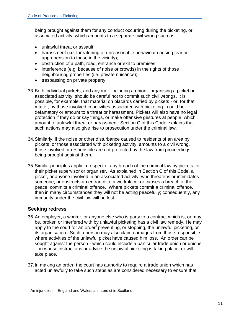being brought against them for any conduct occurring during the picketing, or associated activity, which amounts to a separate civil wrong such as:

- unlawful threat or assault
- harassment (i.e. threatening or unreasonable behaviour causing fear or apprehension to those in the vicinity);
- obstruction of a path, road, entrance or exit to premises;
- interference (e.g. because of noise or crowds) in the rights of those neighbouring properties (i.e. private nuisance);
- trespassing on private property.
- 33.Both individual pickets, and anyone including a union organising a picket or associated activity, should be careful not to commit such civil wrongs. It is possible, for example, that material on placards carried by pickets - or, for that matter, by those involved in activities associated with picketing - could be defamatory or amount to a threat or harassment. Pickets will also have no legal protection if they do or say things, or make offensive gestures at people, which amount to unlawful threat or harassment. Section C of this Code explains that such actions may also give rise to prosecution under the criminal law.
- 34.Similarly, if the noise or other disturbance caused to residents of an area by pickets, or those associated with picketing activity, amounts to a civil wrong, those involved or responsible are not protected by the law from proceedings being brought against them.
- 35.Similar principles apply in respect of any breach of the criminal law by pickets, or their picket supervisor or organiser. As explained in Section C of this Code, a picket, or anyone involved in an associated activity, who threatens or intimidates someone, or obstructs an entrance to a workplace, or causes a breach of the peace, commits a criminal offence. Where pickets commit a criminal offence, then in many circumstances they will not be acting peacefully; consequently, any immunity under the civil law will be lost.

#### <span id="page-10-0"></span>**Seeking redress**

- 36.An employer, a worker, or anyone else who is party to a contract which is, or may be, broken or interfered with by unlawful picketing has a civil law remedy. He may apply to the court for an order<sup>8</sup> preventing, or stopping, the unlawful picketing, or its organisation. Such a person may also claim damages from those responsible where activities of the unlawful picket have caused him loss. An order can be sought against the person - which could include a particular trade union or unions - on whose instructions or advice the unlawful picketing is taking place, or will take place.
- 37.In making an order, the court has authority to require a trade union which has acted unlawfully to take such steps as are considered necessary to ensure that

<sup>&</sup>lt;sup>8</sup> An injunction in England and Wales; an interdict in Scotland.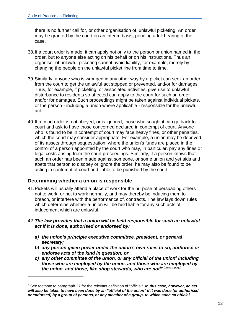there is no further call for, or other organisation of, unlawful picketing. An order may be granted by the court on an interim basis, pending a full hearing of the case.

- 38.If a court order is made, it can apply not only to the person or union named in the order, but to anyone else acting on his behalf or on his instructions. Thus an organiser of unlawful picketing cannot avoid liability, for example, merely by changing the people on the unlawful picket line from time to time.
- 39.Similarly, anyone who is wronged in any other way by a picket can seek an order from the court to get the unlawful act stopped or prevented, and/or for damages. Thus, for example, if picketing, or associated activities, give rise to unlawful disturbance to residents so affected can apply to the court for such an order and/or for damages. Such proceedings might be taken against individual pickets, or the person - including a union where applicable - responsible for the unlawful act.
- 40.If a court order is not obeyed, or is ignored, those who sought it can go back to court and ask to have those concerned declared in contempt of court. Anyone who is found to be in contempt of court may face heavy fines, or other penalties, which the court may consider appropriate. For example, a union may be deprived of its assets through sequestration, where the union's funds are placed in the control of a person appointed by the court who may, in particular, pay any fines or legal costs arising from the court proceedings. Similarly, if a person knows that such an order has been made against someone, or some union and yet aids and abets that person to disobey or ignore the order, he may also be found to be acting in contempt of court and liable to be punished by the court.

#### <span id="page-11-0"></span>**Determining whether a union is responsible**

- 41.Pickets will usually attend a place of work for the purpose of persuading others not to work, or not to work normally, and may thereby be inducing them to breach, or interfere with the performance of, contracts. The law lays down rules which determine whether a union will be held liable for any such acts of inducement which are unlawful.
- 42.*The law provides that a union will be held responsible for such an unlawful act if it is done, authorised or endorsed by:*
	- *a) the union's principle executive committee, president, or general secretary;*
	- *b) any person given power under the union's own rules to so, authorise or endorse acts of the kind in question; or*
	- *c) any other committee of the union, or any official of the union<sup>9</sup> including those who are employed by the union, and those who are employed by the union, and those, like shop stewards, who are not<sup>10</sup>* (on next page) .

<sup>9</sup> See footnote to paragraph 27 for the relevant definition of "official". *In this case, however, an act will also be taken to have been done by an "official of the union" if it was done (or authorised or endorsed) by a group of persons, or any member of a group, to which such an official*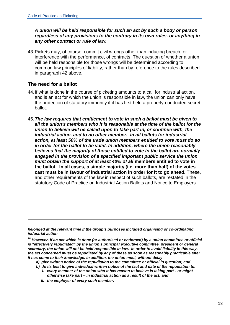*A union will be held responsible for such an act by such a body or person regardless of any provisions to the contrary in its own rules, or anything in any other contract or rule of law.*

43.Pickets may, of course, commit civil wrongs other than inducing breach, or interference with the performance, of contracts. The question of whether a union will be held responsible for those wrongs will be determined according to common law principles of liability, rather than by reference to the rules described in paragraph 42 above.

#### <span id="page-12-0"></span>**The need for a ballot**

<u>.</u>

- 44.If what is done in the course of picketing amounts to a call for industrial action, and is an act for which the union is responsible in law, the union can only have the protection of statutory immunity if it has first held a properly-conducted secret ballot.
- 45.*The law requires that entitlement to vote in such a ballot must be given to all the union's members who it is reasonable at the time of the ballot for the union to believe will be called upon to take part in, or continue with, the industrial action, and to no other member. In all ballots for industrial action, at least 50% of the trade union members entitled to vote must do so in order for the ballot to be valid. In addition, where the union reasonably believes that the majority of those entitled to vote in the ballot are normally engaged in the provision of a specified important public service the union must obtain the support of at least 40% of all* **members entitled to vote in the ballot. In all cases, a simple majority (i.e. more than half) of the votes cast must be in favour of industrial action in order for it to go ahead.** These, and other requirements of the law in respect of such ballots, are restated in the statutory Code of Practice on Industrial Action Ballots and Notice to Employers.

*a) give written notice of the repudiation to the committee or official in question; and* 

- *b) do its best to give individual written notice of the fact and date of the repudiation to:*
	- *i. every member of the union who it has reason to believe is taking part - or might otherwise take part – in industrial action as a result of the act; and*
	- *ii. the employer of every such member.*

*belonged at the relevant time if the group's purposes included organising or co-ordinating industrial action.*

*<sup>10</sup> However, if an act which is done (or authorised or endorsed) by a union committee or official is "effectively repudiated" by the union's principal executive committee, president or general secretary, the union will not be held responsible in law. In order to avoid liability in this way, the act concerned must be repudiated by any of these as soon as reasonably practicable after it has come to their knowledge. In addition, the union must, without delay*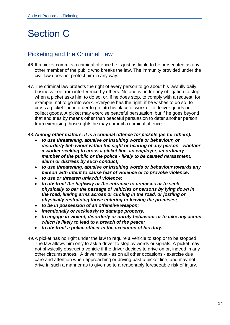# <span id="page-13-0"></span>Section C

### <span id="page-13-1"></span>Picketing and the Criminal Law

- 46.If a picket commits a criminal offence he is just as liable to be prosecuted as any other member of the public who breaks the law. The immunity provided under the civil law does not protect him in any way.
- 47.The criminal law protects the right of every person to go about his lawfully daily business free from interference by others. No one is under any obligation to stop when a picket asks him to do so, or, if he does stop, to comply with a request, for example, not to go into work. Everyone has the right, if he wishes to do so, to cross a picket line in order to go into his place of work or to deliver goods or collect goods. A picket may exercise peaceful persuasion, but if he goes beyond that and tries by means other than peaceful persuasion to deter another person from exercising those rights he may commit a criminal offence.
- 48.*Among other matters, it is a criminal offence for pickets (as for others):*
	- *to use threatening, abusive or insulting words or behaviour, or disorderly behaviour within the sight or hearing of any person - whether a worker seeking to cross a picket line, an employer, an ordinary member of the public or the police - likely to be caused harassment, alarm or distress by such conduct;*
	- *to use threatening, abusive or insulting words or behaviour towards any person with intent to cause fear of violence or to provoke violence;*
	- *to use or threaten unlawful violence;*
	- *to obstruct the highway or the entrance to premises or to seek physically to bar the passage of vehicles or persons by lying down in the road, linking arms across or circling in the road, or jostling or physically restraining those entering or leaving the premises;*
	- *to be in possession of an offensive weapon;*
	- *intentionally or recklessly to damage property;*
	- *to engage in violent, disorderly or unruly behaviour or to take any action which is likely to lead to a breach of the peace;*
	- *to obstruct a police officer in the execution of his duty.*
- 49.A picket has no right under the law to require a vehicle to stop or to be stopped. The law allows him only to ask a driver to stop by words or signals. A picket may not physically obstruct a vehicle if the driver decides to drive on or, indeed in any other circumstances. A driver must - as on all other occasions - exercise due care and attention when approaching or driving past a picket line, and may not drive in such a manner as to give rise to a reasonably foreseeable risk of injury.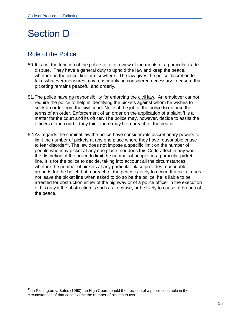### <span id="page-14-0"></span>Section D

### <span id="page-14-1"></span>Role of the Police

- 50.It is not the function of the police to take a view of the merits of a particular trade dispute. They have a general duty to uphold the law and keep the peace, whether on the picket line or elsewhere. The law gives the police discretion to take whatever measures may reasonably be considered necessary to ensure that picketing remains peaceful and orderly.
- 51.The police have no responsibility for enforcing the civil law. An employer cannot require the police to help in identifying the pickets against whom he wishes to seek an order from the civil court. Nor is it the job of the police to enforce the terms of an order. Enforcement of an order on the application of a plaintiff is a matter for the court and its officer. The police may, however, decide to assist the officers of the court if they think there may be a breach of the peace.
- 52.As regards the criminal law the police have considerable discretionary powers to limit the number of pickets at any one place where they have reasonable cause to fear disorder<sup>11</sup>. The law does not impose a specific limit on the number of people who may picket at any one place; nor does this Code affect in any was the discretion of the police to limit the number of people on a particular picket line. It is for the police to decide, taking into account all the circumstances, whether the number of pickets at any particular place provides reasonable grounds for the belief that a breach of the peace is likely to occur. If a picket does not leave the picket line when asked to do so be the police, he is liable to be arrested for obstruction either of the highway or of a police officer in the execution of his duty if the obstruction is such as to cause, or be likely to cause, a breach of the peace.

 $11$  In Piddington v. Bates (1960) the High Court upheld the decision of a police constable in the circumstances of that case to limit the number of pickets to two.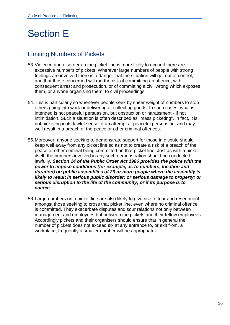### <span id="page-15-0"></span>Section E

### <span id="page-15-1"></span>Limiting Numbers of Pickets

- 53.Violence and disorder on the picket line is more likely to occur if there are excessive numbers of pickets. Wherever large numbers of people with strong feelings are involved there is a danger that the situation will get out of control, and that those concerned will run the risk of committing an offence, with consequent arrest and prosecution, or of committing a civil wrong which exposes them, or anyone organising them, to civil proceedings.
- 54.This is particularly so whenever people seek by sheer weight of numbers to stop others going into work or delivering or collecting goods. In such cases, what is intended is not peaceful persuasion, but obstruction or harassment - if not intimidation. Such a situation is often described as "mass picketing". In fact, it is not picketing in its lawful sense of an attempt at peaceful persuasion, and may well result in a breach of the peace or other criminal offences.
- 55.Moreover, anyone seeking to demonstrate support for those in dispute should keep well away from any picket line so as not to create a risk of a breach of the peace or other criminal being committed on that picket line. Just as with a picket itself, the numbers involved in any such demonstration should be conducted lawfully. *Section 14 of the Public Order Act 1986 provides the police with the power to impose conditions (for example, as to numbers, location and duration) on public assemblies of 20 or more people where the assembly is likely to result in serious public disorder; or serious damage to property; or serious disruption to the life of the community; or if its purpose is to coerce.*
- 56.Large numbers on a picket line are also likely to give rise to fear and resentment amongst those seeking to cross that picket line, even where no criminal offence is committed. They exacerbate disputes and sour relations not only between management and employees but between the pickets and their fellow employees. Accordingly pickets and their organisers should ensure that in general the number of pickets does not exceed six at any entrance to, or exit from, a workplace; frequently a smaller number will be appropriate**.**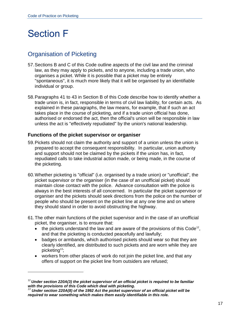# <span id="page-16-0"></span>Section F

1

### <span id="page-16-1"></span>Organisation of Picketing

- 57.Sections B and C of this Code outline aspects of the civil law and the criminal law, as they may apply to pickets, and to anyone, including a trade union, who organises a picket. While it is possible that a picket may be entirely "spontaneous", it is much more likely that it will be organised by an identifiable individual or group.
- 58.Paragraphs 41 to 43 in Section B of this Code describe how to identify whether a trade union is, in fact, responsible in terms of civil law liability, for certain acts. As explained in these paragraphs, the law means, for example, that if such an act takes place in the course of picketing, and if a trade union official has done, authorised or endorsed the act, then the official's union will be responsible in law unless the act is "effectively repudiated" by the union's national leadership.

#### <span id="page-16-2"></span>**Functions of the picket supervisor or organiser**

- 59.Pickets should not claim the authority and support of a union unless the union is prepared to accept the consequent responsibility. In particular, union authority and support should not be claimed by the pickets if the union has, in fact, repudiated calls to take industrial action made, or being made, in the course of the picketing.
- 60.Whether picketing is "official" (i.e. organised by a trade union) or "unofficial", the picket supervisor or the organiser (in the case of an unofficial picket) should maintain close contact with the police. Advance consultation with the police is always in the best interests of all concerned. In particular the picket supervisor or organiser and the pickets should seek directions from the police on the number of people who should be present on the picket line at any one time and on where they should stand in order to avoid obstructing the highway.
- 61.The other main functions of the picket supervisor and in the case of an unofficial picket, the organiser, is to ensure that:
	- $\bullet$  the pickets understand the law and are aware of the provisions of this Code<sup>12</sup>, and that the picketing is conducted peacefully and lawfully;
	- badges or armbands, which authorised pickets should wear so that they are clearly identified, are distributed to such pickets and are worn while they are picketing<sup>13</sup>;
	- workers from other places of work do not join the picket line, and that any offers of support on the picket line from outsiders are refused;

<sup>&</sup>lt;sup>12</sup> Under section 220A(3) the picket supervisor of an official picket is required to be familiar *with the provisions of this Code which deal with picketing.*

*<sup>13</sup> Under section 220A(8) of the 1992 Act the picket supervisor of an official picket will be required to wear something which makes them easily identifiable in this role.*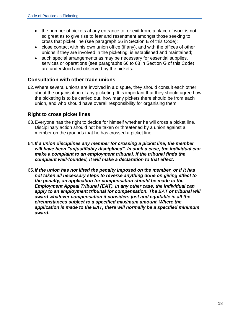- the number of pickets at any entrance to, or exit from, a place of work is not so great as to give rise to fear and resentment amongst those seeking to cross that picket line (see paragraph 56 in Section E of this Code);
- close contact with his own union office (if any), and with the offices of other unions if they are involved in the picketing, is established and maintained;
- such special arrangements as may be necessary for essential supplies, services or operations (see paragraphs 66 to 68 in Section G of this Code) are understood and observed by the pickets.

#### <span id="page-17-0"></span>**Consultation with other trade unions**

62.Where several unions are involved in a dispute, they should consult each other about the organisation of any picketing. It is important that they should agree how the picketing is to be carried out, how many pickets there should be from each union, and who should have overall responsibility for organising them.

#### <span id="page-17-1"></span>**Right to cross picket lines**

- 63.Everyone has the right to decide for himself whether he will cross a picket line. Disciplinary action should not be taken or threatened by a union against a member on the grounds that he has crossed a picket line.
- 64.*If a union disciplines any member for crossing a picket line, the member will have been "unjustifiably disciplined". In such a case, the individual can make a complaint to an employment tribunal. If the tribunal finds the complaint well-founded, it will make a declaration to that effect.*
- 65.*If the union has not lifted the penalty imposed on the member, or if it has not taken all necessary steps to reverse anything done on giving effect to the penalty, an application for compensation should be made to the Employment Appeal Tribunal (EAT). In any other case, the individual can*  apply to an employment tribunal for compensation. The EAT or tribunal will *award whatever compensation it considers just and equitable in all the circumstances subject to a specified maximum amount. Where the application is made to the EAT, there will normally be a specified minimum award.*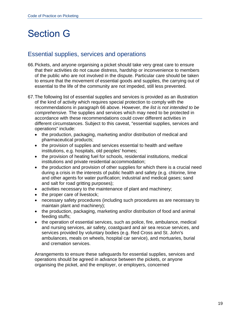# <span id="page-18-0"></span>Section G

### <span id="page-18-1"></span>Essential supplies, services and operations

- 66.Pickets, and anyone organising a picket should take very great care to ensure that their activities do not cause distress, hardship or inconvenience to members of the public who are not involved in the dispute. Particular care should be taken to ensure that the movement of essential goods and supplies, the carrying out of essential to the life of the community are not impeded, still less prevented.
- 67.The following list of essential supplies and services is provided as an illustration of the kind of activity which requires special protection to comply with the recommendations in paragraph 66 above. However, *the list is not intended to be comprehensive.* The supplies and services which may need to be protected in accordance with these recommendations could cover different activities in different circumstances. Subject to this caveat, "essential supplies, services and operations" include:
	- the production, packaging, marketing and/or distribution of medical and pharmaceutical products;
	- the provision of supplies and services essential to health and welfare institutions, e.g. hospitals, old peoples' homes;
	- the provision of heating fuel for schools, residential institutions, medical institutions and private residential accommodation;
	- the production and provision of other supplies for which there is a crucial need during a crisis in the interests of public health and safety (e.g. chlorine, lime and other agents for water purification; industrial and medical gases; sand and salt for road gritting purposes);
	- activities necessary to the maintenance of plant and machinery;
	- the proper care of livestock;
	- necessary safety procedures (including such procedures as are necessary to maintain plant and machinery);
	- the production, packaging, marketing and/or distribution of food and animal feeding stuffs;
	- the operation of essential services, such as police, fire, ambulance, medical and nursing services, air safety, coastguard and air sea rescue services, and services provided by voluntary bodies (e.g. Red Cross and St. John's ambulances, meals on wheels, hospital car service), and mortuaries, burial and cremation services.

Arrangements to ensure these safeguards for essential supplies, services and operations should be agreed in advance between the pickets, or anyone organising the picket, and the employer, or employers, concerned